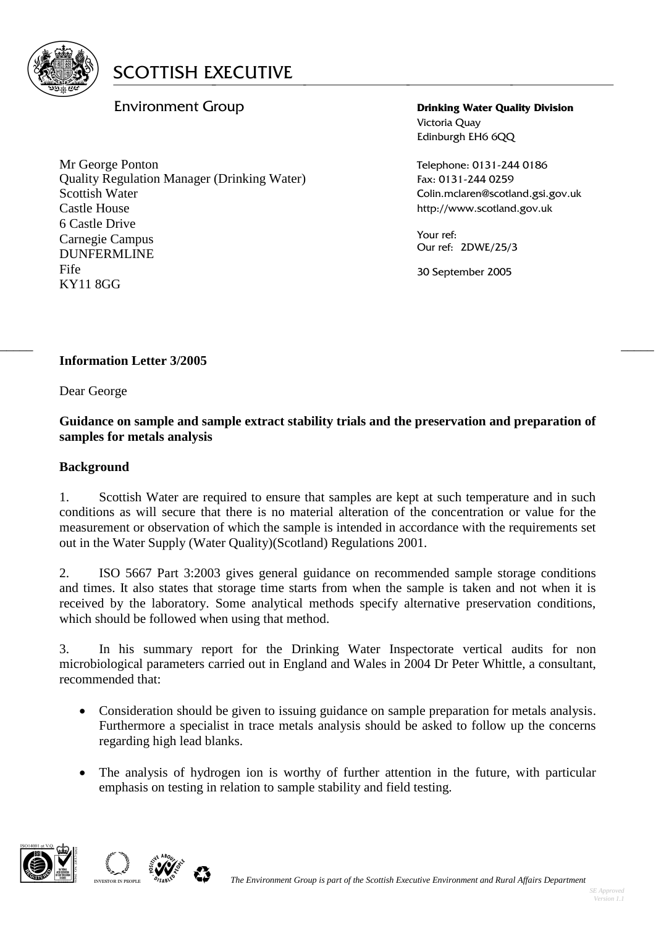

# Environment Group

Mr George Ponton Quality Regulation Manager (Drinking Water) Scottish Water Castle House 6 Castle Drive Carnegie Campus DUNFERMLINE Fife KY11 8GG

**Drinking Water Quality Division** Victoria Quay Edinburgh EH6 6QQ

Telephone: 0131-244 0186 Fax: 0131-244 0259 Colin.mclaren@scotland.gsi.gov.uk http://www.scotland.gov.uk

Your ref: Our ref: 2DWE/25/3

30 September 2005

#### $\frac{1}{2}$  , the contribution of the contribution of the contribution of the contribution of the contribution of the contribution of the contribution of the contribution of the contribution of the contribution of the contr **Information Letter 3/2005**

Dear George

#### **Guidance on sample and sample extract stability trials and the preservation and preparation of samples for metals analysis**

#### **Background**

1. Scottish Water are required to ensure that samples are kept at such temperature and in such conditions as will secure that there is no material alteration of the concentration or value for the measurement or observation of which the sample is intended in accordance with the requirements set out in the Water Supply (Water Quality)(Scotland) Regulations 2001.

2. ISO 5667 Part 3:2003 gives general guidance on recommended sample storage conditions and times. It also states that storage time starts from when the sample is taken and not when it is received by the laboratory. Some analytical methods specify alternative preservation conditions, which should be followed when using that method.

3. In his summary report for the Drinking Water Inspectorate vertical audits for non microbiological parameters carried out in England and Wales in 2004 Dr Peter Whittle, a consultant, recommended that:

- Consideration should be given to issuing guidance on sample preparation for metals analysis. Furthermore a specialist in trace metals analysis should be asked to follow up the concerns regarding high lead blanks.
- The analysis of hydrogen ion is worthy of further attention in the future, with particular emphasis on testing in relation to sample stability and field testing.